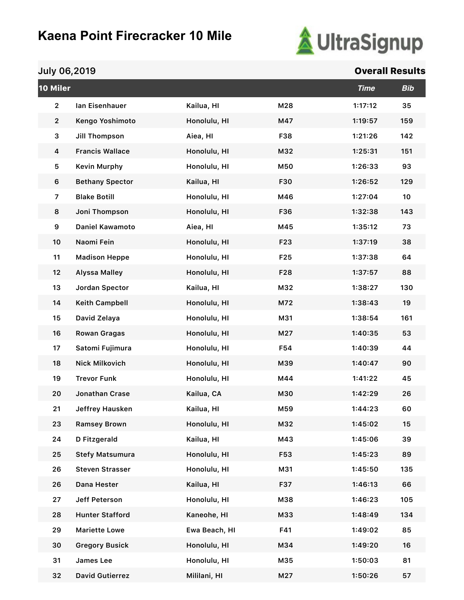

| 10 Miler       |                        |               |                 | <b>Time</b> | <b>Bib</b> |
|----------------|------------------------|---------------|-----------------|-------------|------------|
| $\mathbf{2}$   | lan Eisenhauer         | Kailua, HI    | M28             | 1:17:12     | 35         |
| $\mathbf{2}$   | Kengo Yoshimoto        | Honolulu, HI  | M47             | 1:19:57     | 159        |
| 3              | <b>Jill Thompson</b>   | Aiea, HI      | F38             | 1:21:26     | 142        |
| 4              | <b>Francis Wallace</b> | Honolulu, HI  | M32             | 1:25:31     | 151        |
| 5              | <b>Kevin Murphy</b>    | Honolulu, HI  | M50             | 1:26:33     | 93         |
| 6              | <b>Bethany Spector</b> | Kailua, HI    | F30             | 1:26:52     | 129        |
| $\overline{z}$ | <b>Blake Botill</b>    | Honolulu, HI  | M46             | 1:27:04     | 10         |
| 8              | Joni Thompson          | Honolulu, HI  | F36             | 1:32:38     | 143        |
| 9              | <b>Daniel Kawamoto</b> | Aiea, HI      | M45             | 1:35:12     | 73         |
| 10             | Naomi Fein             | Honolulu, HI  | F23             | 1:37:19     | 38         |
| 11             | <b>Madison Heppe</b>   | Honolulu, HI  | F <sub>25</sub> | 1:37:38     | 64         |
| 12             | <b>Alyssa Malley</b>   | Honolulu, HI  | F28             | 1:37:57     | 88         |
| 13             | Jordan Spector         | Kailua, HI    | M32             | 1:38:27     | 130        |
| 14             | <b>Keith Campbell</b>  | Honolulu, HI  | M72             | 1:38:43     | 19         |
| 15             | David Zelaya           | Honolulu, HI  | M31             | 1:38:54     | 161        |
| 16             | <b>Rowan Gragas</b>    | Honolulu, HI  | M27             | 1:40:35     | 53         |
| 17             | Satomi Fujimura        | Honolulu, HI  | F54             | 1:40:39     | 44         |
| 18             | <b>Nick Milkovich</b>  | Honolulu, HI  | M39             | 1:40:47     | 90         |
| 19             | <b>Trevor Funk</b>     | Honolulu, HI  | M44             | 1:41:22     | 45         |
| 20             | Jonathan Crase         | Kailua, CA    | M30             | 1:42:29     | 26         |
| 21             | Jeffrey Hausken        | Kailua, HI    | M59             | 1:44:23     | 60         |
| 23             | <b>Ramsey Brown</b>    | Honolulu, HI  | M32             | 1:45:02     | 15         |
| 24             | D Fitzgerald           | Kailua, HI    | M43             | 1:45:06     | 39         |
| 25             | <b>Stefy Matsumura</b> | Honolulu, HI  | F53             | 1:45:23     | 89         |
| 26             | <b>Steven Strasser</b> | Honolulu, HI  | M31             | 1:45:50     | 135        |
| 26             | Dana Hester            | Kailua, HI    | F37             | 1:46:13     | 66         |
| 27             | Jeff Peterson          | Honolulu, HI  | M38             | 1:46:23     | 105        |
| 28             | <b>Hunter Stafford</b> | Kaneohe, HI   | M33             | 1:48:49     | 134        |
| 29             | <b>Mariette Lowe</b>   | Ewa Beach, HI | F41             | 1:49:02     | 85         |
| 30             | <b>Gregory Busick</b>  | Honolulu, HI  | M34             | 1:49:20     | 16         |
| 31             | James Lee              | Honolulu, HI  | M35             | 1:50:03     | 81         |
| 32             | <b>David Gutierrez</b> | Mililani, HI  | M27             | 1:50:26     | 57         |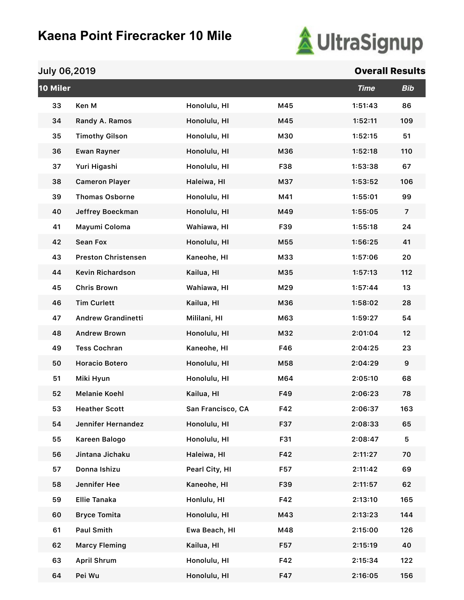

| 10 Miler |                            |                   |     | <b>Time</b> | <b>Bib</b>       |
|----------|----------------------------|-------------------|-----|-------------|------------------|
| 33       | Ken M                      | Honolulu, HI      | M45 | 1:51:43     | 86               |
| 34       | Randy A. Ramos             | Honolulu, HI      | M45 | 1:52:11     | 109              |
| 35       | <b>Timothy Gilson</b>      | Honolulu, HI      | M30 | 1:52:15     | 51               |
| 36       | <b>Ewan Rayner</b>         | Honolulu, HI      | M36 | 1:52:18     | 110              |
| 37       | Yuri Higashi               | Honolulu, HI      | F38 | 1:53:38     | 67               |
| 38       | <b>Cameron Player</b>      | Haleiwa, HI       | M37 | 1:53:52     | 106              |
| 39       | <b>Thomas Osborne</b>      | Honolulu, HI      | M41 | 1:55:01     | 99               |
| 40       | Jeffrey Boeckman           | Honolulu, HI      | M49 | 1:55:05     | $\overline{7}$   |
| 41       | Mayumi Coloma              | Wahiawa, HI       | F39 | 1:55:18     | 24               |
| 42       | <b>Sean Fox</b>            | Honolulu, HI      | M55 | 1:56:25     | 41               |
| 43       | <b>Preston Christensen</b> | Kaneohe, HI       | M33 | 1:57:06     | 20               |
| 44       | <b>Kevin Richardson</b>    | Kailua, HI        | M35 | 1:57:13     | 112              |
| 45       | <b>Chris Brown</b>         | Wahiawa, HI       | M29 | 1:57:44     | 13               |
| 46       | <b>Tim Curlett</b>         | Kailua, HI        | M36 | 1:58:02     | 28               |
| 47       | <b>Andrew Grandinetti</b>  | Mililani, HI      | M63 | 1:59:27     | 54               |
| 48       | <b>Andrew Brown</b>        | Honolulu, HI      | M32 | 2:01:04     | 12               |
| 49       | <b>Tess Cochran</b>        | Kaneohe, HI       | F46 | 2:04:25     | 23               |
| 50       | Horacio Botero             | Honolulu, HI      | M58 | 2:04:29     | $\boldsymbol{9}$ |
| 51       | Miki Hyun                  | Honolulu, HI      | M64 | 2:05:10     | 68               |
| 52       | <b>Melanie Koehl</b>       | Kailua, HI        | F49 | 2:06:23     | 78               |
| 53       | <b>Heather Scott</b>       | San Francisco, CA | F42 | 2:06:37     | 163              |
| 54       | Jennifer Hernandez         | Honolulu, HI      | F37 | 2:08:33     | 65               |
| 55       | Kareen Balogo              | Honolulu, HI      | F31 | 2:08:47     | 5                |
| 56       | Jintana Jichaku            | Haleiwa, HI       | F42 | 2:11:27     | 70               |
| 57       | Donna Ishizu               | Pearl City, HI    | F57 | 2:11:42     | 69               |
| 58       | Jennifer Hee               | Kaneohe, HI       | F39 | 2:11:57     | 62               |
| 59       | <b>Ellie Tanaka</b>        | Honlulu, HI       | F42 | 2:13:10     | 165              |
| 60       | <b>Bryce Tomita</b>        | Honolulu, HI      | M43 | 2:13:23     | 144              |
| 61       | <b>Paul Smith</b>          | Ewa Beach, HI     | M48 | 2:15:00     | 126              |
| 62       | <b>Marcy Fleming</b>       | Kailua, HI        | F57 | 2:15:19     | 40               |
| 63       | <b>April Shrum</b>         | Honolulu, HI      | F42 | 2:15:34     | 122              |
| 64       | Pei Wu                     | Honolulu, HI      | F47 | 2:16:05     | 156              |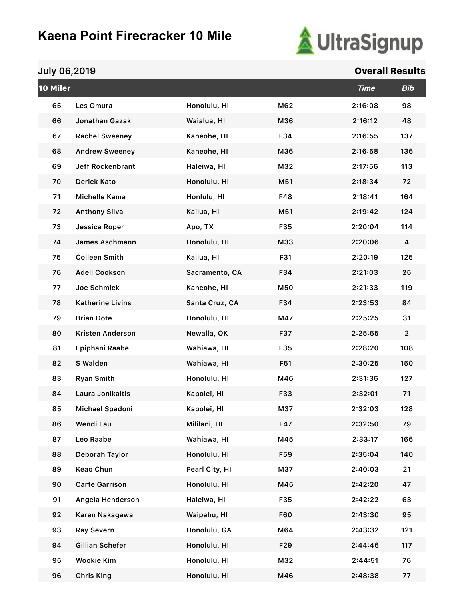

| 10 Miler |                         |                |            | <b>Time</b> | <b>Bib</b>              |
|----------|-------------------------|----------------|------------|-------------|-------------------------|
| 65       | Les Omura               | Honolulu, HI   | M62        | 2:16:08     | 98                      |
| 66       | Jonathan Gazak          | Waialua, HI    | M36        | 2:16:12     | 48                      |
| 67       | <b>Rachel Sweeney</b>   | Kaneohe, HI    | F34        | 2:16:55     | 137                     |
| 68       | <b>Andrew Sweeney</b>   | Kaneohe, HI    | M36        | 2:16:58     | 136                     |
| 69       | <b>Jeff Rockenbrant</b> | Haleiwa, HI    | M32        | 2:17:56     | 113                     |
| 70       | <b>Derick Kato</b>      | Honolulu, HI   | M51        | 2:18:34     | 72                      |
| 71       | Michelle Kama           | Honlulu, HI    | F48        | 2:18:41     | 164                     |
| 72       | <b>Anthony Silva</b>    | Kailua, HI     | M51        | 2:19:42     | 124                     |
| 73       | Jessica Roper           | Apo, TX        | F35        | 2:20:04     | 114                     |
| 74       | James Aschmann          | Honolulu, HI   | M33        | 2:20:06     | $\overline{\mathbf{4}}$ |
| 75       | <b>Colleen Smith</b>    | Kailua, HI     | F31        | 2:20:19     | 125                     |
| 76       | <b>Adell Cookson</b>    | Sacramento, CA | F34        | 2:21:03     | 25                      |
| 77       | Joe Schmick             | Kaneohe, HI    | M50        | 2:21:33     | 119                     |
| 78       | <b>Katherine Livins</b> | Santa Cruz, CA | F34        | 2:23:53     | 84                      |
| 79       | <b>Brian Dote</b>       | Honolulu, HI   | M47        | 2:25:25     | 31                      |
| 80       | <b>Kristen Anderson</b> | Newalla, OK    | F37        | 2:25:55     | $\overline{2}$          |
| 81       | Epiphani Raabe          | Wahiawa, HI    | F35        | 2:28:20     | 108                     |
| 82       | S Walden                | Wahiawa, HI    | F51        | 2:30:25     | 150                     |
| 83       | <b>Ryan Smith</b>       | Honolulu, HI   | M46        | 2:31:36     | 127                     |
| 84       | Laura Jonikaitis        | Kapolei, HI    | F33        | 2:32:01     | 71                      |
| 85       | Michael Spadoni         | Kapolei, HI    | M37        | 2:32:03     | 128                     |
| 86       | Wendi Lau               | Mililani, HI   | F47        | 2:32:50     | 79                      |
| 87       | Leo Raabe               | Wahiawa, HI    | M45        | 2:33:17     | 166                     |
| 88       | Deborah Taylor          | Honolulu, HI   | F59        | 2:35:04     | 140                     |
| 89       | Keao Chun               | Pearl City, HI | M37        | 2:40:03     | 21                      |
| 90       | <b>Carte Garrison</b>   | Honolulu, HI   | M45        | 2:42:20     | 47                      |
| 91       | Angela Henderson        | Haleiwa, HI    | F35        | 2:42:22     | 63                      |
| 92       | Karen Nakagawa          | Waipahu, HI    | <b>F60</b> | 2:43:30     | 95                      |
| 93       | Ray Severn              | Honolulu, GA   | M64        | 2:43:32     | 121                     |
| 94       | Gillian Schefer         | Honolulu, HI   | F29        | 2:44:46     | 117                     |
| 95       | <b>Wookie Kim</b>       | Honolulu, HI   | M32        | 2:44:51     | 76                      |
| 96       | <b>Chris King</b>       | Honolulu, HI   | M46        | 2:48:38     | 77                      |